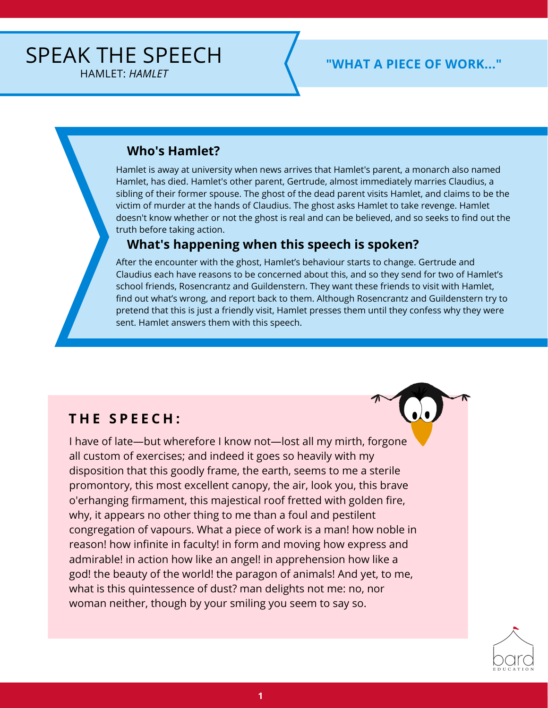### **Who's Hamlet?**

Hamlet is away at university when news arrives that Hamlet's parent, a monarch also named Hamlet, has died. Hamlet's other parent, Gertrude, almost immediately marries Claudius, a sibling of their former spouse. The ghost of the dead parent visits Hamlet, and claims to be the victim of murder at the hands of Claudius. The ghost asks Hamlet to take revenge. Hamlet doesn't know whether or not the ghost is real and can be believed, and so seeks to find out the truth before taking action.

## **What's happening when this speech is spoken?**

After the encounter with the ghost, Hamlet's behaviour starts to change. Gertrude and Claudius each have reasons to be concerned about this, and so they send for two of Hamlet's school friends, Rosencrantz and Guildenstern. They want these friends to visit with Hamlet, find out what's wrong, and report back to them. Although Rosencrantz and Guildenstern try to pretend that this is just a friendly visit, Hamlet presses them until they confess why they were sent. Hamlet answers them with this speech.

# **T H E S P E E C H :**

I have of late—but wherefore I know not—lost all my mirth, forgone all custom of exercises; and indeed it goes so heavily with my disposition that this goodly frame, the earth, seems to me a sterile promontory, this most excellent canopy, the air, look you, this brave o'erhanging firmament, this majestical roof fretted with golden fire, why, it appears no other thing to me than a foul and pestilent congregation of vapours. What a piece of work is a man! how noble in reason! how infinite in faculty! in form and moving how express and admirable! in action how like an angel! in apprehension how like a god! the beauty of the world! the paragon of animals! And yet, to me, what is this quintessence of dust? man delights not me: no, nor woman neither, though by your smiling you seem to say so.

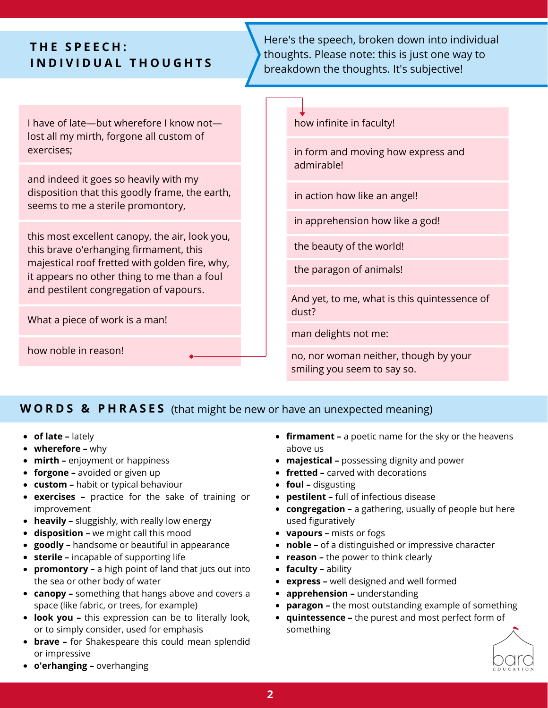## **T H E S P E E C H : I N D I V I D U A L T H O U G H T S**

Here's the speech, broken down into individual thoughts. Please note: this is just one way to breakdown the thoughts. It's subjective!

I have of late—but wherefore I know not lost all my mirth, forgone all custom of exercises;

and indeed it goes so heavily with my disposition that this goodly frame, the earth, seems to me a sterile promontory,

this most excellent canopy, the air, look you, this brave o'erhanging firmament, this majestical roof fretted with golden fire, why, it appears no other thing to me than a foul and pestilent congregation of vapours.

What a piece of work is a man!

how noble in reason!

how infinite in faculty!

in form and moving how express and admirable!

in action how like an angel!

in apprehension how like a god!

the beauty of the world!

the paragon of animals!

And yet, to me, what is this quintessence of dust?

man delights not me:

no, nor woman neither, though by your smiling you seem to say so.

#### **W O R D S & P H R A S E S** (that might be new or have an unexpected meaning)

- **of late –** lately
- **wherefore –** why
- **mirth –** enjoyment or happiness
- **forgone –** avoided or given up
- **custom –** habit or typical behaviour
- **exercises –** practice for the sake of training or improvement
- **heavily –** sluggishly, with really low energy
- **disposition –** we might call this mood
- **goodly –** handsome or beautiful in appearance
- **sterile –** incapable of supporting life
- **promontory –** a high point of land that juts out into the sea or other body of water
- **canopy –** something that hangs above and covers a space (like fabric, or trees, for example)
- **look you –** this expression can be to literally look, or to simply consider, used for emphasis
- **brave –** for Shakespeare this could mean splendid or impressive
- **firmament –** a poetic name for the sky or the heavens above us
- **majestical –** possessing dignity and power
- **fretted –** carved with decorations
- **foul –** disgusting
- **pestilent –** full of infectious disease
- **congregation –** a gathering, usually of people but here used figuratively
- **vapours –** mists or fogs
- **noble –** of a distinguished or impressive character
- **reason –** the power to think clearly
- **faculty –** ability
- **express –** well designed and well formed
- **apprehension –** understanding
- **paragon –** the most outstanding example of something
- **quintessence –** the purest and most perfect form of something



**o'erhanging –** overhanging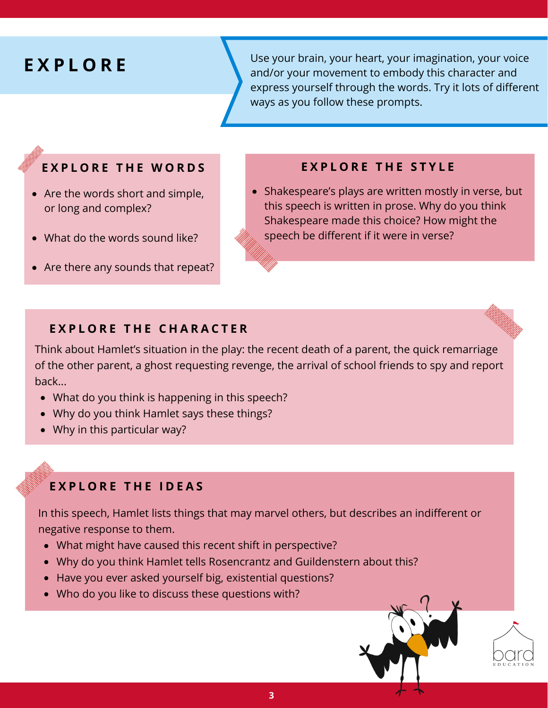# **E X P L O R E**

Use your brain, your heart, your imagination, your voice and/or your movement to embody this character and express yourself through the words. Try it lots of different ways as you follow these prompts.

#### EXPLORE THE WORDS EXPLORE THE STYLE

- Are the words short and simple, or long and complex?
- What do the words sound like?
- Are there any sounds that repeat?

• Shakespeare's plays are written mostly in verse, but this speech is written in prose. Why do you think Shakespeare made this choice? How might the speech be different if it were in verse?

#### **E X P L O R E T H E C H A R A C T E R**

Think about Hamlet's situation in the play: the recent death of a parent, the quick remarriage of the other parent, a ghost requesting revenge, the arrival of school friends to spy and report back...

- What do you think is happening in this speech?
- Why do you think Hamlet says these things?
- Why in this particular way?

#### **E X P L O R E T H E I D E A S**

In this speech, Hamlet lists things that may marvel others, but describes an indifferent or negative response to them.

- What might have caused this recent shift in perspective?
- Why do you think Hamlet tells Rosencrantz and Guildenstern about this?
- Have you ever asked yourself big, existential questions?
- Who do you like to discuss these questions with?